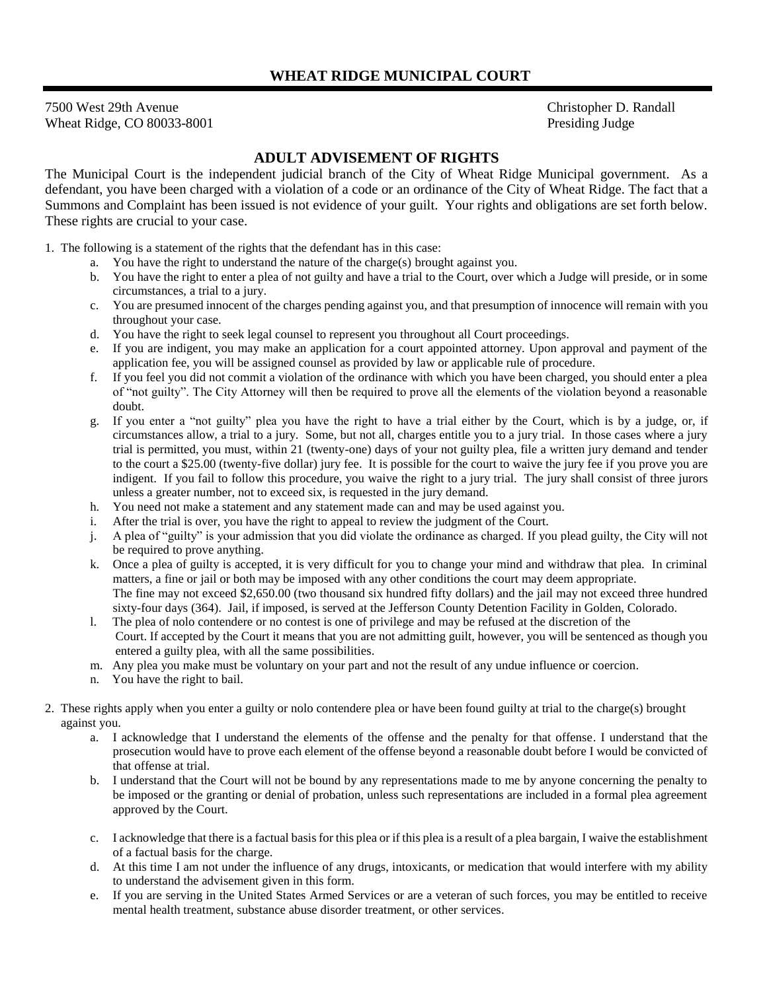7500 West 29th Avenue Wheat Ridge, CO 80033-8001  Christopher D. Randall Presiding Judge

## **ADULT ADVISEMENT OF RIGHTS**

The Municipal Court is the independent judicial branch of the City of Wheat Ridge Municipal government. As a defendant, you have been charged with a violation of a code or an ordinance of the City of Wheat Ridge. The fact that a Summons and Complaint has been issued is not evidence of your guilt. Your rights and obligations are set forth below. These rights are crucial to your case.

1. The following is a statement of the rights that the defendant has in this case:

- a. You have the right to understand the nature of the charge(s) brought against you.
- b. You have the right to enter a plea of not guilty and have a trial to the Court, over which a Judge will preside, or in some circumstances, a trial to a jury.
- c. You are presumed innocent of the charges pending against you, and that presumption of innocence will remain with you throughout your case.
- d. You have the right to seek legal counsel to represent you throughout all Court proceedings.
- e. If you are indigent, you may make an application for a court appointed attorney. Upon approval and payment of the application fee, you will be assigned counsel as provided by law or applicable rule of procedure.
- f. If you feel you did not commit a violation of the ordinance with which you have been charged, you should enter a plea of "not guilty". The City Attorney will then be required to prove all the elements of the violation beyond a reasonable doubt.
- g. If you enter a "not guilty" plea you have the right to have a trial either by the Court, which is by a judge, or, if circumstances allow, a trial to a jury. Some, but not all, charges entitle you to a jury trial. In those cases where a jury trial is permitted, you must, within 21 (twenty-one) days of your not guilty plea, file a written jury demand and tender to the court a \$25.00 (twenty-five dollar) jury fee. It is possible for the court to waive the jury fee if you prove you are indigent. If you fail to follow this procedure, you waive the right to a jury trial. The jury shall consist of three jurors unless a greater number, not to exceed six, is requested in the jury demand.
- h. You need not make a statement and any statement made can and may be used against you.
- i. After the trial is over, you have the right to appeal to review the judgment of the Court.
- j. A plea of "guilty" is your admission that you did violate the ordinance as charged. If you plead guilty, the City will not be required to prove anything.
- k. Once a plea of guilty is accepted, it is very difficult for you to change your mind and withdraw that plea. In criminal matters, a fine or jail or both may be imposed with any other conditions the court may deem appropriate. The fine may not exceed \$2,650.00 (two thousand six hundred fifty dollars) and the jail may not exceed three hundred sixty-four days (364). Jail, if imposed, is served at the Jefferson County Detention Facility in Golden, Colorado.
- l. The plea of nolo contendere or no contest is one of privilege and may be refused at the discretion of the Court. If accepted by the Court it means that you are not admitting guilt, however, you will be sentenced as though you entered a guilty plea, with all the same possibilities.
- m. Any plea you make must be voluntary on your part and not the result of any undue influence or coercion.
- You have the right to bail.
- 2. These rights apply when you enter a guilty or nolo contendere plea or have been found guilty at trial to the charge(s) brought against you.
	- a. I acknowledge that I understand the elements of the offense and the penalty for that offense. I understand that the prosecution would have to prove each element of the offense beyond a reasonable doubt before I would be convicted of that offense at trial.
	- b. I understand that the Court will not be bound by any representations made to me by anyone concerning the penalty to be imposed or the granting or denial of probation, unless such representations are included in a formal plea agreement approved by the Court.
	- c. I acknowledge that there is a factual basis for this plea or if this plea is a result of a plea bargain, I waive the establishment of a factual basis for the charge.
	- d. At this time I am not under the influence of any drugs, intoxicants, or medication that would interfere with my ability to understand the advisement given in this form.
	- e. If you are serving in the United States Armed Services or are a veteran of such forces, you may be entitled to receive mental health treatment, substance abuse disorder treatment, or other services.